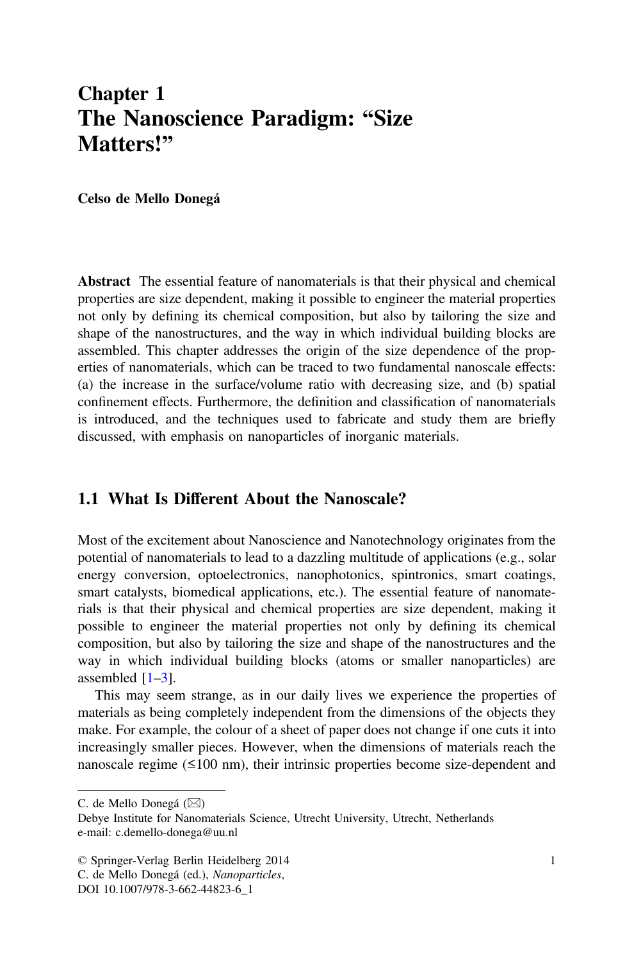# <span id="page-0-0"></span>Chapter 1 The Nanoscience Paradigm: "Size Matters!"

Celso de Mello Donegá

Abstract The essential feature of nanomaterials is that their physical and chemical properties are size dependent, making it possible to engineer the material properties not only by defining its chemical composition, but also by tailoring the size and shape of the nanostructures, and the way in which individual building blocks are assembled. This chapter addresses the origin of the size dependence of the properties of nanomaterials, which can be traced to two fundamental nanoscale effects: (a) the increase in the surface/volume ratio with decreasing size, and (b) spatial confinement effects. Furthermore, the definition and classification of nanomaterials is introduced, and the techniques used to fabricate and study them are briefly discussed, with emphasis on nanoparticles of inorganic materials.

## 1.1 What Is Different About the Nanoscale?

Most of the excitement about Nanoscience and Nanotechnology originates from the potential of nanomaterials to lead to a dazzling multitude of applications (e.g., solar energy conversion, optoelectronics, nanophotonics, spintronics, smart coatings, smart catalysts, biomedical applications, etc.). The essential feature of nanomaterials is that their physical and chemical properties are size dependent, making it possible to engineer the material properties not only by defining its chemical composition, but also by tailoring the size and shape of the nanostructures and the way in which individual building blocks (atoms or smaller nanoparticles) are assembled  $[1-3]$  $[1-3]$  $[1-3]$  $[1-3]$ .

This may seem strange, as in our daily lives we experience the properties of materials as being completely independent from the dimensions of the objects they make. For example, the colour of a sheet of paper does not change if one cuts it into increasingly smaller pieces. However, when the dimensions of materials reach the nanoscale regime  $(\leq 100 \text{ nm})$ , their intrinsic properties become size-dependent and

C. de Mello Donegá ( $\boxtimes$ )

Debye Institute for Nanomaterials Science, Utrecht University, Utrecht, Netherlands e-mail: c.demello-donega@uu.nl

<sup>©</sup> Springer-Verlag Berlin Heidelberg 2014

C. de Mello Donegá (ed.), Nanoparticles,

DOI 10.1007/978-3-662-44823-6\_1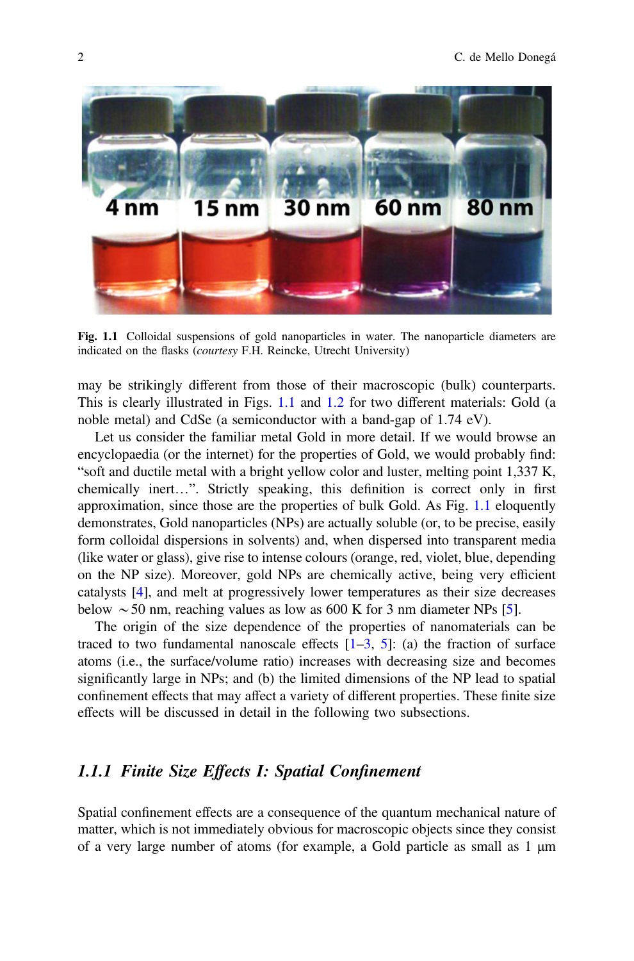<span id="page-1-0"></span>

Fig. 1.1 Colloidal suspensions of gold nanoparticles in water. The nanoparticle diameters are indicated on the flasks (courtesy F.H. Reincke, Utrecht University)

may be strikingly different from those of their macroscopic (bulk) counterparts. This is clearly illustrated in Figs. 1.1 and [1.2](#page-2-0) for two different materials: Gold (a noble metal) and CdSe (a semiconductor with a band-gap of 1.74 eV).

Let us consider the familiar metal Gold in more detail. If we would browse an encyclopaedia (or the internet) for the properties of Gold, we would probably find: "soft and ductile metal with a bright yellow color and luster, melting point 1,337 K, chemically inert…". Strictly speaking, this definition is correct only in first approximation, since those are the properties of bulk Gold. As Fig. 1.1 eloquently demonstrates, Gold nanoparticles (NPs) are actually soluble (or, to be precise, easily form colloidal dispersions in solvents) and, when dispersed into transparent media (like water or glass), give rise to intense colours (orange, red, violet, blue, depending on the NP size). Moreover, gold NPs are chemically active, being very efficient catalysts [[4\]](#page-10-0), and melt at progressively lower temperatures as their size decreases below  $\sim$  50 nm, reaching values as low as 600 K for 3 nm diameter NPs [\[5](#page-10-0)].

The origin of the size dependence of the properties of nanomaterials can be traced to two fundamental nanoscale effects  $[1-3, 5]$  $[1-3, 5]$  $[1-3, 5]$  $[1-3, 5]$  $[1-3, 5]$ : (a) the fraction of surface atoms (i.e., the surface/volume ratio) increases with decreasing size and becomes significantly large in NPs; and (b) the limited dimensions of the NP lead to spatial confinement effects that may affect a variety of different properties. These finite size effects will be discussed in detail in the following two subsections.

# 1.1.1 Finite Size Effects I: Spatial Confinement

Spatial confinement effects are a consequence of the quantum mechanical nature of matter, which is not immediately obvious for macroscopic objects since they consist of a very large number of atoms (for example, a Gold particle as small as 1 μm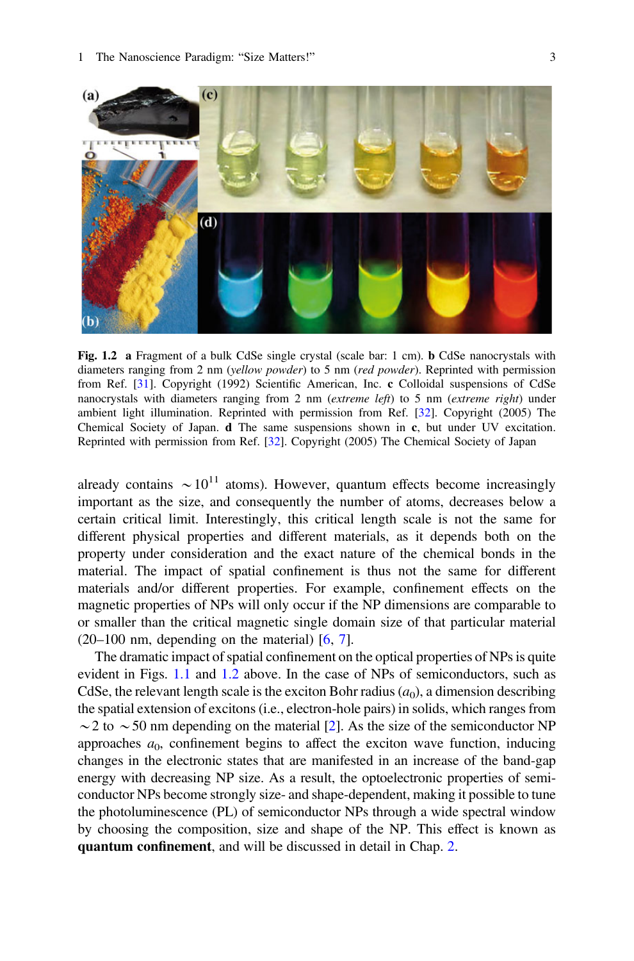<span id="page-2-0"></span>

Fig. 1.2 a Fragment of a bulk CdSe single crystal (scale bar: 1 cm). **b** CdSe nanocrystals with diameters ranging from 2 nm (yellow powder) to 5 nm (red powder). Reprinted with permission from Ref. [\[31\]](#page-11-0). Copyright (1992) Scientific American, Inc. c Colloidal suspensions of CdSe nanocrystals with diameters ranging from 2 nm (extreme left) to 5 nm (extreme right) under ambient light illumination. Reprinted with permission from Ref. [\[32\]](#page-11-0). Copyright (2005) The Chemical Society of Japan. d The same suspensions shown in c, but under UV excitation. Reprinted with permission from Ref. [[32](#page-11-0)]. Copyright (2005) The Chemical Society of Japan

already contains  $\sim 10^{11}$  atoms). However, quantum effects become increasingly important as the size, and consequently the number of atoms, decreases below a certain critical limit. Interestingly, this critical length scale is not the same for different physical properties and different materials, as it depends both on the property under consideration and the exact nature of the chemical bonds in the material. The impact of spatial confinement is thus not the same for different materials and/or different properties. For example, confinement effects on the magnetic properties of NPs will only occur if the NP dimensions are comparable to or smaller than the critical magnetic single domain size of that particular material  $(20-100)$  nm, depending on the material) [\[6](#page-10-0), [7\]](#page-10-0).

The dramatic impact of spatial confinement on the optical properties of NPs is quite evident in Figs. [1.1](#page-1-0) and 1.2 above. In the case of NPs of semiconductors, such as CdSe, the relevant length scale is the exciton Bohr radius  $(a_0)$ , a dimension describing the spatial extension of excitons (i.e., electron-hole pairs) in solids, which ranges from  $\sim$  2 to  $\sim$  50 nm depending on the material [[2\]](#page-10-0). As the size of the semiconductor NP approaches  $a_0$ , confinement begins to affect the exciton wave function, inducing changes in the electronic states that are manifested in an increase of the band-gap energy with decreasing NP size. As a result, the optoelectronic properties of semiconductor NPs become strongly size- and shape-dependent, making it possible to tune the photoluminescence (PL) of semiconductor NPs through a wide spectral window by choosing the composition, size and shape of the NP. This effect is known as quantum confinement, and will be discussed in detail in Chap. [2](http://dx.doi.org/10.1007/978-3-662-44823-6_2).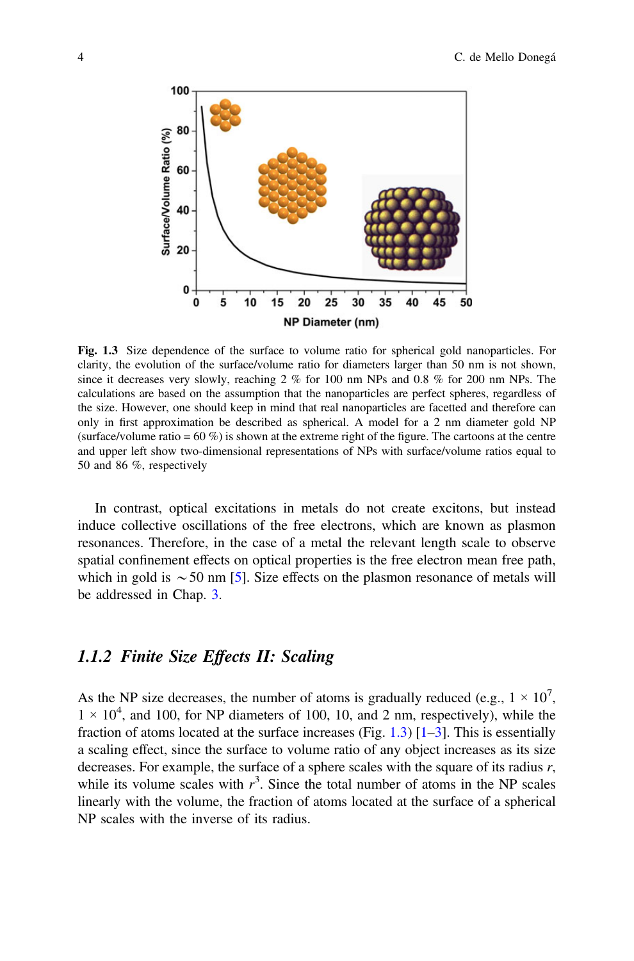

Fig. 1.3 Size dependence of the surface to volume ratio for spherical gold nanoparticles. For clarity, the evolution of the surface/volume ratio for diameters larger than 50 nm is not shown, since it decreases very slowly, reaching 2 % for 100 nm NPs and 0.8 % for 200 nm NPs. The calculations are based on the assumption that the nanoparticles are perfect spheres, regardless of the size. However, one should keep in mind that real nanoparticles are facetted and therefore can only in first approximation be described as spherical. A model for a 2 nm diameter gold NP (surface/volume ratio =  $60\%$ ) is shown at the extreme right of the figure. The cartoons at the centre and upper left show two-dimensional representations of NPs with surface/volume ratios equal to 50 and 86 %, respectively

In contrast, optical excitations in metals do not create excitons, but instead induce collective oscillations of the free electrons, which are known as plasmon resonances. Therefore, in the case of a metal the relevant length scale to observe spatial confinement effects on optical properties is the free electron mean free path, which in gold is  $\sim$  50 nm [[5\]](#page-10-0). Size effects on the plasmon resonance of metals will be addressed in Chap. [3.](http://dx.doi.org/10.1007/978-3-662-44823-6_3)

#### 1.1.2 Finite Size Effects II: Scaling

As the NP size decreases, the number of atoms is gradually reduced (e.g.,  $1 \times 10^7$ ,  $1 \times 10^4$ , and 100, for NP diameters of 100, 10, and 2 nm, respectively), while the fraction of atoms located at the surface increases (Fig. [1](#page-10-0).[3](#page-10-0))  $[1-3]$ . This is essentially a scaling effect, since the surface to volume ratio of any object increases as its size decreases. For example, the surface of a sphere scales with the square of its radius  $r$ , while its volume scales with  $r^3$ . Since the total number of atoms in the NP scales linearly with the volume, the fraction of atoms located at the surface of a spherical NP scales with the inverse of its radius.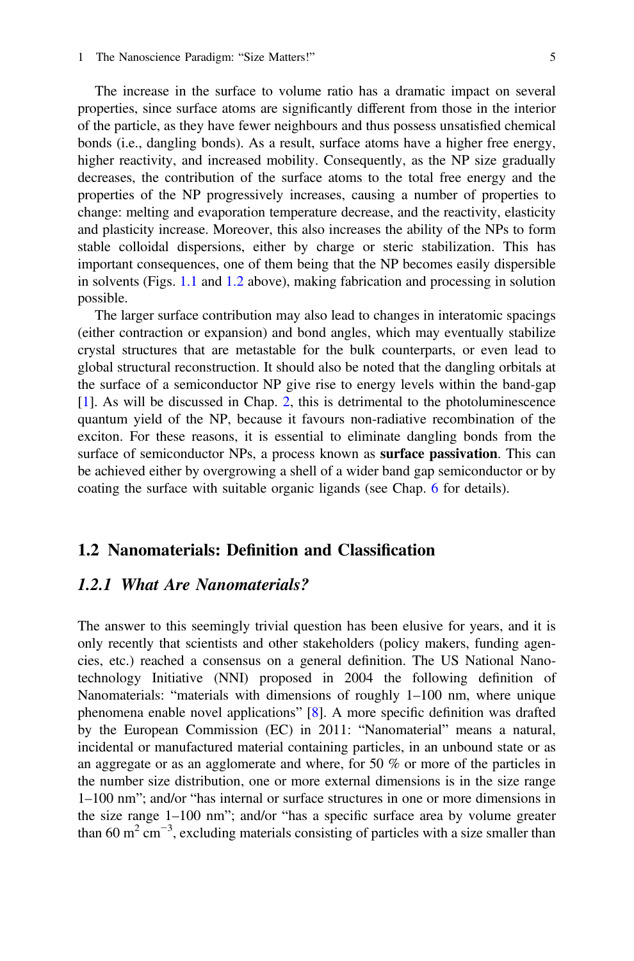<span id="page-4-0"></span>The increase in the surface to volume ratio has a dramatic impact on several properties, since surface atoms are significantly different from those in the interior of the particle, as they have fewer neighbours and thus possess unsatisfied chemical bonds (i.e., dangling bonds). As a result, surface atoms have a higher free energy, higher reactivity, and increased mobility. Consequently, as the NP size gradually decreases, the contribution of the surface atoms to the total free energy and the properties of the NP progressively increases, causing a number of properties to change: melting and evaporation temperature decrease, and the reactivity, elasticity and plasticity increase. Moreover, this also increases the ability of the NPs to form stable colloidal dispersions, either by charge or steric stabilization. This has important consequences, one of them being that the NP becomes easily dispersible in solvents (Figs. [1.1](#page-1-0) and [1.2](#page-2-0) above), making fabrication and processing in solution possible.

The larger surface contribution may also lead to changes in interatomic spacings (either contraction or expansion) and bond angles, which may eventually stabilize crystal structures that are metastable for the bulk counterparts, or even lead to global structural reconstruction. It should also be noted that the dangling orbitals at the surface of a semiconductor NP give rise to energy levels within the band-gap [\[1](#page-10-0)]. As will be discussed in Chap. [2](http://dx.doi.org/10.1007/978-3-662-44823-6_2), this is detrimental to the photoluminescence quantum yield of the NP, because it favours non-radiative recombination of the exciton. For these reasons, it is essential to eliminate dangling bonds from the surface of semiconductor NPs, a process known as **surface passivation**. This can be achieved either by overgrowing a shell of a wider band gap semiconductor or by coating the surface with suitable organic ligands (see Chap. [6](http://dx.doi.org/10.1007/978-3-662-44823-6_6) for details).

#### 1.2 Nanomaterials: Definition and Classification

### 1.2.1 What Are Nanomaterials?

The answer to this seemingly trivial question has been elusive for years, and it is only recently that scientists and other stakeholders (policy makers, funding agencies, etc.) reached a consensus on a general definition. The US National Nanotechnology Initiative (NNI) proposed in 2004 the following definition of Nanomaterials: "materials with dimensions of roughly 1–100 nm, where unique phenomena enable novel applications" [\[8](#page-10-0)]. A more specific definition was drafted by the European Commission (EC) in 2011: "Nanomaterial" means a natural, incidental or manufactured material containing particles, in an unbound state or as an aggregate or as an agglomerate and where, for 50 % or more of the particles in the number size distribution, one or more external dimensions is in the size range 1–100 nm"; and/or "has internal or surface structures in one or more dimensions in the size range 1–100 nm"; and/or "has a specific surface area by volume greater than 60 m<sup>2</sup> cm<sup>-3</sup>, excluding materials consisting of particles with a size smaller than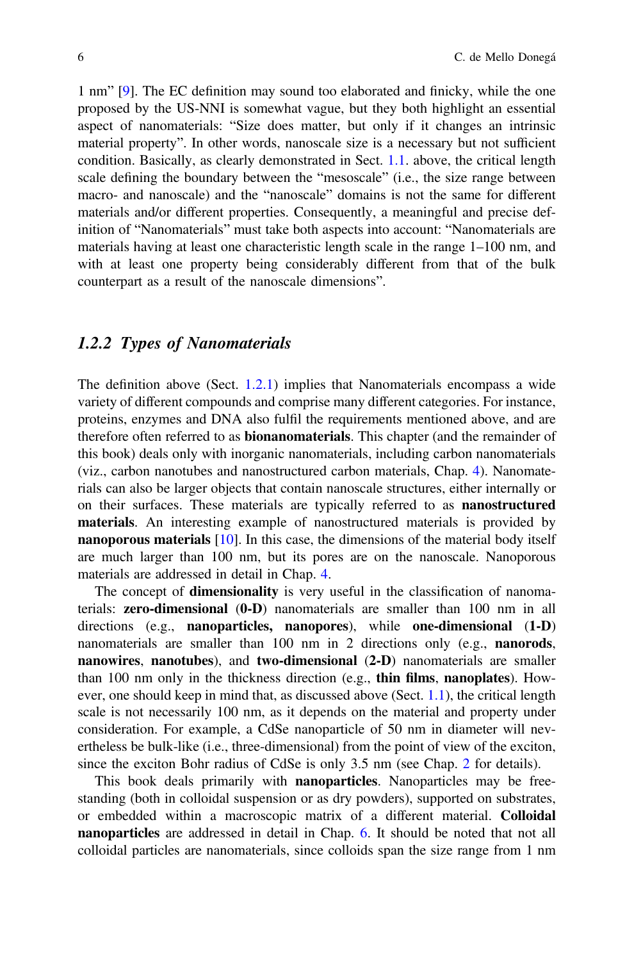1 nm" [\[9](#page-10-0)]. The EC definition may sound too elaborated and finicky, while the one proposed by the US-NNI is somewhat vague, but they both highlight an essential aspect of nanomaterials: "Size does matter, but only if it changes an intrinsic material property". In other words, nanoscale size is a necessary but not sufficient condition. Basically, as clearly demonstrated in Sect. [1.1](#page-0-0). above, the critical length scale defining the boundary between the "mesoscale" (i.e., the size range between macro- and nanoscale) and the "nanoscale" domains is not the same for different materials and/or different properties. Consequently, a meaningful and precise definition of "Nanomaterials" must take both aspects into account: "Nanomaterials are materials having at least one characteristic length scale in the range 1–100 nm, and with at least one property being considerably different from that of the bulk counterpart as a result of the nanoscale dimensions".

#### 1.2.2 Types of Nanomaterials

The definition above (Sect. [1.2.1\)](#page-4-0) implies that Nanomaterials encompass a wide variety of different compounds and comprise many different categories. For instance, proteins, enzymes and DNA also fulfil the requirements mentioned above, and are therefore often referred to as bionanomaterials. This chapter (and the remainder of this book) deals only with inorganic nanomaterials, including carbon nanomaterials (viz., carbon nanotubes and nanostructured carbon materials, Chap. [4\)](http://dx.doi.org/10.1007/978-3-662-44823-6_4). Nanomaterials can also be larger objects that contain nanoscale structures, either internally or on their surfaces. These materials are typically referred to as nanostructured materials. An interesting example of nanostructured materials is provided by nanoporous materials [\[10](#page-10-0)]. In this case, the dimensions of the material body itself are much larger than 100 nm, but its pores are on the nanoscale. Nanoporous materials are addressed in detail in Chap. [4](http://dx.doi.org/10.1007/978-3-662-44823-6_4).

The concept of **dimensionality** is very useful in the classification of nanomaterials: zero-dimensional (0-D) nanomaterials are smaller than 100 nm in all directions (e.g., **nanoparticles, nanopores**), while **one-dimensional** (1-D) nanomaterials are smaller than 100 nm in 2 directions only (e.g., nanorods, nanowires, nanotubes), and two-dimensional (2-D) nanomaterials are smaller than 100 nm only in the thickness direction (e.g., thin films, nanoplates). However, one should keep in mind that, as discussed above (Sect.  $1.1$ ), the critical length scale is not necessarily 100 nm, as it depends on the material and property under consideration. For example, a CdSe nanoparticle of 50 nm in diameter will nevertheless be bulk-like (i.e., three-dimensional) from the point of view of the exciton, since the exciton Bohr radius of CdSe is only 3.5 nm (see Chap. [2](http://dx.doi.org/10.1007/978-3-662-44823-6_6) for details).

This book deals primarily with nanoparticles. Nanoparticles may be freestanding (both in colloidal suspension or as dry powders), supported on substrates, or embedded within a macroscopic matrix of a different material. Colloidal nanoparticles are addressed in detail in Chap. [6.](http://dx.doi.org/10.1007/978-3-662-44823-6_6) It should be noted that not all colloidal particles are nanomaterials, since colloids span the size range from 1 nm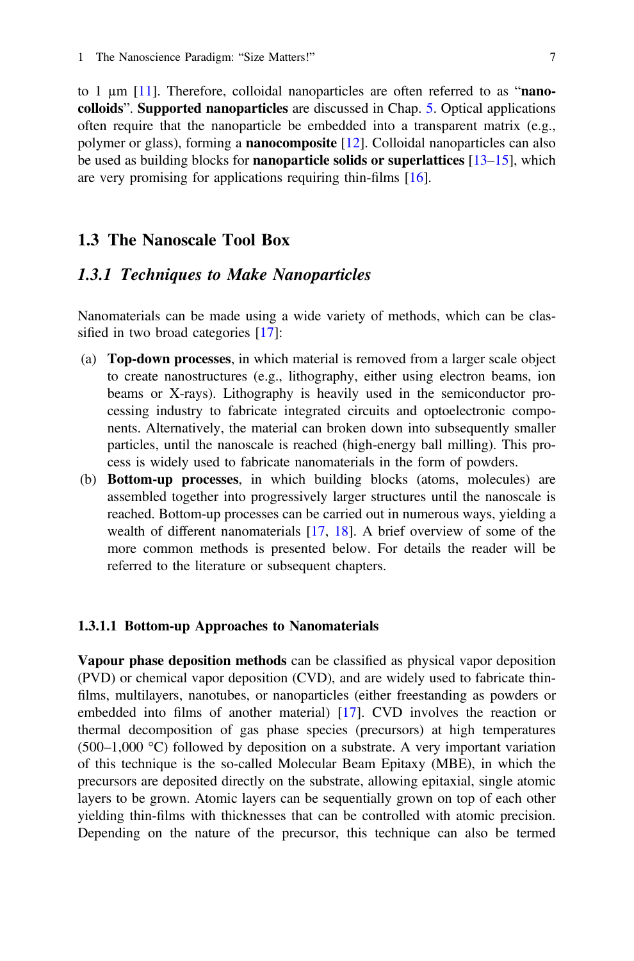to 1  $\mu$ m [[11\]](#page-10-0). Therefore, colloidal nanoparticles are often referred to as "nanocolloids". Supported nanoparticles are discussed in Chap. [5](http://dx.doi.org/10.1007/978-3-662-44823-6_5). Optical applications often require that the nanoparticle be embedded into a transparent matrix (e.g., polymer or glass), forming a nanocomposite [[12\]](#page-10-0). Colloidal nanoparticles can also be used as building blocks for **nanoparticle solids or superlattices**  $[13–15]$  $[13–15]$  $[13–15]$  $[13–15]$ , which are very promising for applications requiring thin-films [[16\]](#page-11-0).

#### 1.3 The Nanoscale Tool Box

#### 1.3.1 Techniques to Make Nanoparticles

Nanomaterials can be made using a wide variety of methods, which can be clas-sified in two broad categories [\[17](#page-11-0)]:

- (a) Top-down processes, in which material is removed from a larger scale object to create nanostructures (e.g., lithography, either using electron beams, ion beams or X-rays). Lithography is heavily used in the semiconductor processing industry to fabricate integrated circuits and optoelectronic components. Alternatively, the material can broken down into subsequently smaller particles, until the nanoscale is reached (high-energy ball milling). This process is widely used to fabricate nanomaterials in the form of powders.
- (b) Bottom-up processes, in which building blocks (atoms, molecules) are assembled together into progressively larger structures until the nanoscale is reached. Bottom-up processes can be carried out in numerous ways, yielding a wealth of different nanomaterials [[17,](#page-11-0) [18\]](#page-11-0). A brief overview of some of the more common methods is presented below. For details the reader will be referred to the literature or subsequent chapters.

#### 1.3.1.1 Bottom-up Approaches to Nanomaterials

Vapour phase deposition methods can be classified as physical vapor deposition (PVD) or chemical vapor deposition (CVD), and are widely used to fabricate thinfilms, multilayers, nanotubes, or nanoparticles (either freestanding as powders or embedded into films of another material) [\[17](#page-11-0)]. CVD involves the reaction or thermal decomposition of gas phase species (precursors) at high temperatures  $(500-1,000 \degree C)$  followed by deposition on a substrate. A very important variation of this technique is the so-called Molecular Beam Epitaxy (MBE), in which the precursors are deposited directly on the substrate, allowing epitaxial, single atomic layers to be grown. Atomic layers can be sequentially grown on top of each other yielding thin-films with thicknesses that can be controlled with atomic precision. Depending on the nature of the precursor, this technique can also be termed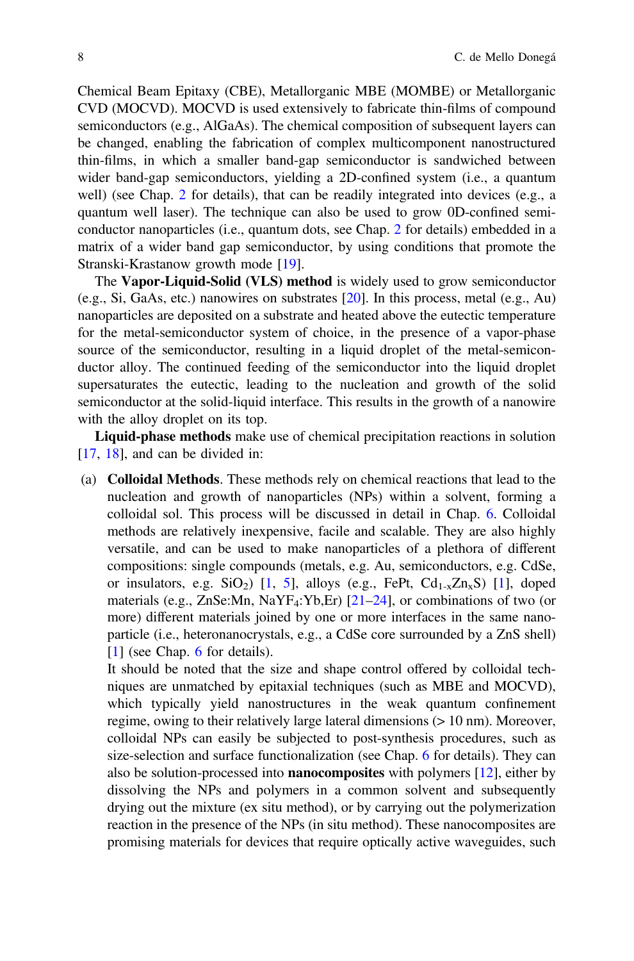Chemical Beam Epitaxy (CBE), Metallorganic MBE (MOMBE) or Metallorganic CVD (MOCVD). MOCVD is used extensively to fabricate thin-films of compound semiconductors (e.g., AlGaAs). The chemical composition of subsequent layers can be changed, enabling the fabrication of complex multicomponent nanostructured thin-films, in which a smaller band-gap semiconductor is sandwiched between wider band-gap semiconductors, yielding a 2D-confined system (i.e., a quantum well) (see Chap. [2](http://dx.doi.org/10.1007/978-3-662-44823-6_2) for details), that can be readily integrated into devices (e.g., a quantum well laser). The technique can also be used to grow 0D-confined semiconductor nanoparticles (i.e., quantum dots, see Chap. [2](http://dx.doi.org/10.1007/978-3-662-44823-6_2) for details) embedded in a matrix of a wider band gap semiconductor, by using conditions that promote the Stranski-Krastanow growth mode [[19\]](#page-11-0).

The Vapor-Liquid-Solid (VLS) method is widely used to grow semiconductor (e.g., Si, GaAs, etc.) nanowires on substrates [\[20](#page-11-0)]. In this process, metal (e.g., Au) nanoparticles are deposited on a substrate and heated above the eutectic temperature for the metal-semiconductor system of choice, in the presence of a vapor-phase source of the semiconductor, resulting in a liquid droplet of the metal-semiconductor alloy. The continued feeding of the semiconductor into the liquid droplet supersaturates the eutectic, leading to the nucleation and growth of the solid semiconductor at the solid-liquid interface. This results in the growth of a nanowire with the alloy droplet on its top.

Liquid-phase methods make use of chemical precipitation reactions in solution [\[17](#page-11-0), [18\]](#page-11-0), and can be divided in:

(a) Colloidal Methods. These methods rely on chemical reactions that lead to the nucleation and growth of nanoparticles (NPs) within a solvent, forming a colloidal sol. This process will be discussed in detail in Chap. [6](http://dx.doi.org/10.1007/978-3-662-44823-6_6). Colloidal methods are relatively inexpensive, facile and scalable. They are also highly versatile, and can be used to make nanoparticles of a plethora of different compositions: single compounds (metals, e.g. Au, semiconductors, e.g. CdSe, or insulators, e.g.  $SiO_2$ ) [[1,](#page-10-0) [5\]](#page-10-0), alloys (e.g., FePt,  $Cd_{1-x}Zn_xS$ ) [\[1](#page-10-0)], doped materials (e.g., ZnSe:Mn,  $NaYF_4:Yb,Er$ ) [[21](#page-11-0)–[24\]](#page-11-0), or combinations of two (or more) different materials joined by one or more interfaces in the same nanoparticle (i.e., heteronanocrystals, e.g., a CdSe core surrounded by a ZnS shell) [[1\]](#page-10-0) (see Chap. [6](http://dx.doi.org/10.1007/978-3-662-44823-6_6) for details).

It should be noted that the size and shape control offered by colloidal techniques are unmatched by epitaxial techniques (such as MBE and MOCVD), which typically yield nanostructures in the weak quantum confinement regime, owing to their relatively large lateral dimensions (> 10 nm). Moreover, colloidal NPs can easily be subjected to post-synthesis procedures, such as size-selection and surface functionalization (see Chap. [6](http://dx.doi.org/10.1007/978-3-662-44823-6_6) for details). They can also be solution-processed into **nanocomposites** with polymers  $[12]$  $[12]$ , either by dissolving the NPs and polymers in a common solvent and subsequently drying out the mixture (ex situ method), or by carrying out the polymerization reaction in the presence of the NPs (in situ method). These nanocomposites are promising materials for devices that require optically active waveguides, such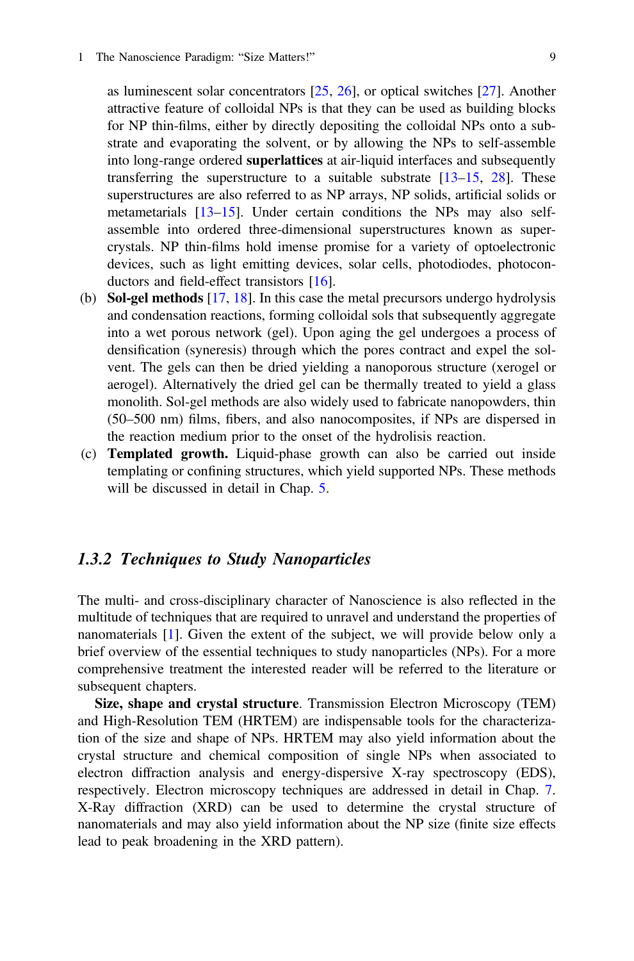as luminescent solar concentrators [\[25](#page-11-0), [26\]](#page-11-0), or optical switches [\[27](#page-11-0)]. Another attractive feature of colloidal NPs is that they can be used as building blocks for NP thin-films, either by directly depositing the colloidal NPs onto a substrate and evaporating the solvent, or by allowing the NPs to self-assemble into long-range ordered superlattices at air-liquid interfaces and subsequently transferring the superstructure to a suitable substrate  $[13-15, 28]$  $[13-15, 28]$  $[13-15, 28]$  $[13-15, 28]$  $[13-15, 28]$  $[13-15, 28]$ . These superstructures are also referred to as NP arrays, NP solids, artificial solids or metametarials [\[13](#page-10-0)–[15](#page-11-0)]. Under certain conditions the NPs may also selfassemble into ordered three-dimensional superstructures known as supercrystals. NP thin-films hold imense promise for a variety of optoelectronic devices, such as light emitting devices, solar cells, photodiodes, photoconductors and field-effect transistors [\[16](#page-11-0)].

- (b) Sol-gel methods [[17,](#page-11-0) [18\]](#page-11-0). In this case the metal precursors undergo hydrolysis and condensation reactions, forming colloidal sols that subsequently aggregate into a wet porous network (gel). Upon aging the gel undergoes a process of densification (syneresis) through which the pores contract and expel the solvent. The gels can then be dried yielding a nanoporous structure (xerogel or aerogel). Alternatively the dried gel can be thermally treated to yield a glass monolith. Sol-gel methods are also widely used to fabricate nanopowders, thin (50–500 nm) films, fibers, and also nanocomposites, if NPs are dispersed in the reaction medium prior to the onset of the hydrolisis reaction.
- (c) Templated growth. Liquid-phase growth can also be carried out inside templating or confining structures, which yield supported NPs. These methods will be discussed in detail in Chap. [5.](http://dx.doi.org/10.1007/978-3-662-44823-6_5)

#### 1.3.2 Techniques to Study Nanoparticles

The multi- and cross-disciplinary character of Nanoscience is also reflected in the multitude of techniques that are required to unravel and understand the properties of nanomaterials [\[1](#page-10-0)]. Given the extent of the subject, we will provide below only a brief overview of the essential techniques to study nanoparticles (NPs). For a more comprehensive treatment the interested reader will be referred to the literature or subsequent chapters.

Size, shape and crystal structure. Transmission Electron Microscopy (TEM) and High-Resolution TEM (HRTEM) are indispensable tools for the characterization of the size and shape of NPs. HRTEM may also yield information about the crystal structure and chemical composition of single NPs when associated to electron diffraction analysis and energy-dispersive X-ray spectroscopy (EDS), respectively. Electron microscopy techniques are addressed in detail in Chap. [7](http://dx.doi.org/10.1007/978-3-662-44823-6_7). X-Ray diffraction (XRD) can be used to determine the crystal structure of nanomaterials and may also yield information about the NP size (finite size effects lead to peak broadening in the XRD pattern).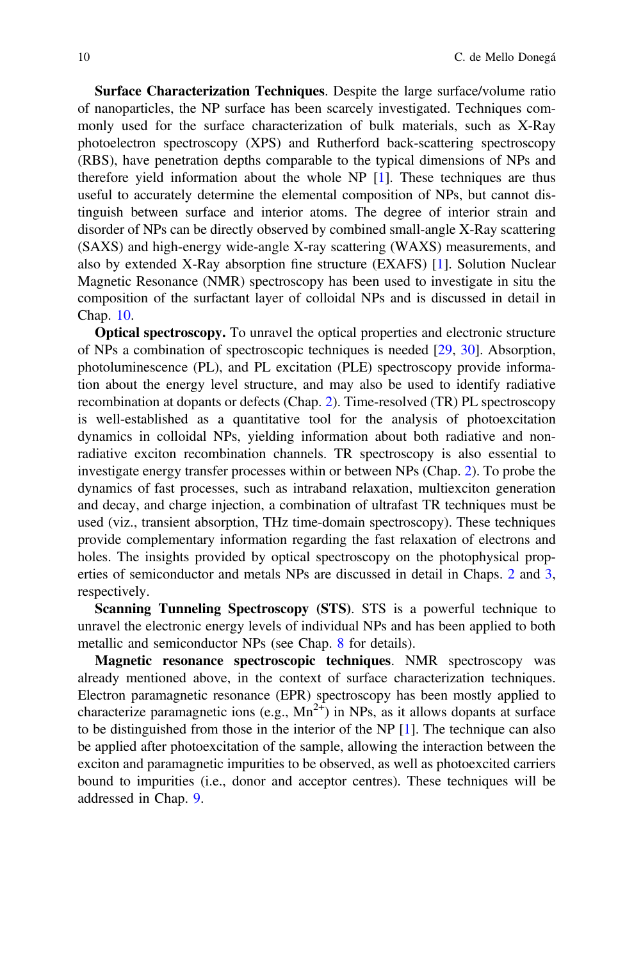Surface Characterization Techniques. Despite the large surface/volume ratio of nanoparticles, the NP surface has been scarcely investigated. Techniques commonly used for the surface characterization of bulk materials, such as X-Ray photoelectron spectroscopy (XPS) and Rutherford back-scattering spectroscopy (RBS), have penetration depths comparable to the typical dimensions of NPs and therefore yield information about the whole NP [\[1](#page-10-0)]. These techniques are thus useful to accurately determine the elemental composition of NPs, but cannot distinguish between surface and interior atoms. The degree of interior strain and disorder of NPs can be directly observed by combined small-angle X-Ray scattering (SAXS) and high-energy wide-angle X-ray scattering (WAXS) measurements, and also by extended X-Ray absorption fine structure (EXAFS) [[1\]](#page-10-0). Solution Nuclear Magnetic Resonance (NMR) spectroscopy has been used to investigate in situ the composition of the surfactant layer of colloidal NPs and is discussed in detail in Chap. [10.](http://dx.doi.org/10.1007/978-3-662-44823-6_10)

Optical spectroscopy. To unravel the optical properties and electronic structure of NPs a combination of spectroscopic techniques is needed [[29,](#page-11-0) [30](#page-11-0)]. Absorption, photoluminescence (PL), and PL excitation (PLE) spectroscopy provide information about the energy level structure, and may also be used to identify radiative recombination at dopants or defects (Chap. [2\)](http://dx.doi.org/10.1007/978-3-662-44823-6_2). Time-resolved (TR) PL spectroscopy is well-established as a quantitative tool for the analysis of photoexcitation dynamics in colloidal NPs, yielding information about both radiative and nonradiative exciton recombination channels. TR spectroscopy is also essential to investigate energy transfer processes within or between NPs (Chap. [2](http://dx.doi.org/10.1007/978-3-662-44823-6_2)). To probe the dynamics of fast processes, such as intraband relaxation, multiexciton generation and decay, and charge injection, a combination of ultrafast TR techniques must be used (viz., transient absorption, THz time-domain spectroscopy). These techniques provide complementary information regarding the fast relaxation of electrons and holes. The insights provided by optical spectroscopy on the photophysical properties of semiconductor and metals NPs are discussed in detail in Chaps. [2](http://dx.doi.org/10.1007/978-3-662-44823-6_2) and [3](http://dx.doi.org/10.1007/978-3-662-44823-6_3), respectively.

Scanning Tunneling Spectroscopy (STS). STS is a powerful technique to unravel the electronic energy levels of individual NPs and has been applied to both metallic and semiconductor NPs (see Chap. [8](http://dx.doi.org/10.1007/978-3-662-44823-6_8) for details).

Magnetic resonance spectroscopic techniques. NMR spectroscopy was already mentioned above, in the context of surface characterization techniques. Electron paramagnetic resonance (EPR) spectroscopy has been mostly applied to characterize paramagnetic ions (e.g.,  $Mn^{2+}$ ) in NPs, as it allows dopants at surface to be distinguished from those in the interior of the NP [[1\]](#page-10-0). The technique can also be applied after photoexcitation of the sample, allowing the interaction between the exciton and paramagnetic impurities to be observed, as well as photoexcited carriers bound to impurities (i.e., donor and acceptor centres). These techniques will be addressed in Chap. [9](http://dx.doi.org/10.1007/978-3-662-44823-6_9).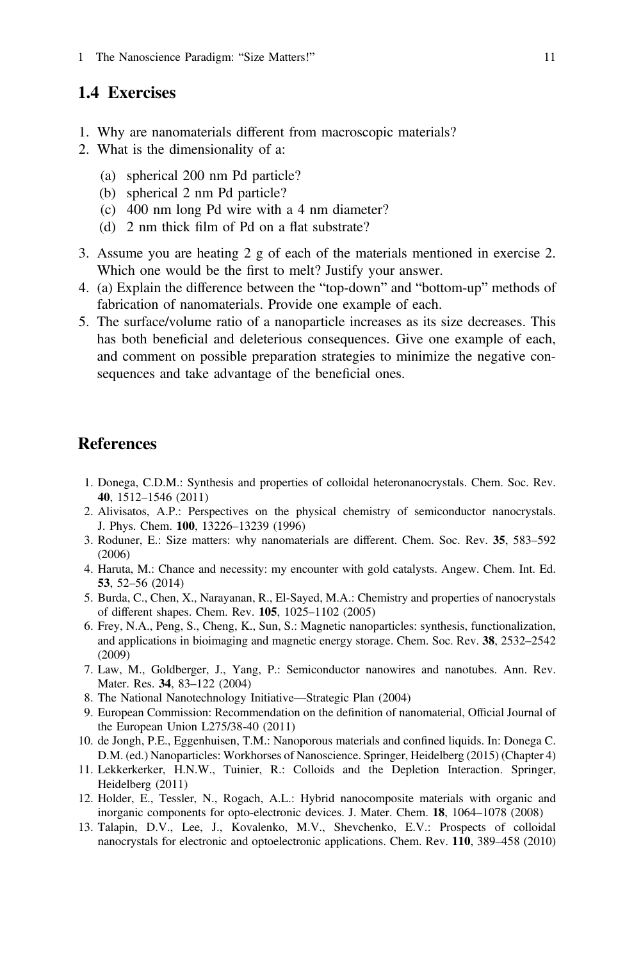#### <span id="page-10-0"></span>1.4 Exercises

- 1. Why are nanomaterials different from macroscopic materials?
- 2. What is the dimensionality of a:
	- (a) spherical 200 nm Pd particle?
	- (b) spherical 2 nm Pd particle?
	- (c) 400 nm long Pd wire with a 4 nm diameter?
	- (d) 2 nm thick film of Pd on a flat substrate?
- 3. Assume you are heating 2 g of each of the materials mentioned in exercise 2. Which one would be the first to melt? Justify your answer.
- 4. (a) Explain the difference between the "top-down" and "bottom-up" methods of fabrication of nanomaterials. Provide one example of each.
- 5. The surface/volume ratio of a nanoparticle increases as its size decreases. This has both beneficial and deleterious consequences. Give one example of each, and comment on possible preparation strategies to minimize the negative consequences and take advantage of the beneficial ones.

#### References

- 1. Donega, C.D.M.: Synthesis and properties of colloidal heteronanocrystals. Chem. Soc. Rev. 40, 1512–1546 (2011)
- 2. Alivisatos, A.P.: Perspectives on the physical chemistry of semiconductor nanocrystals. J. Phys. Chem. 100, 13226–13239 (1996)
- 3. Roduner, E.: Size matters: why nanomaterials are different. Chem. Soc. Rev. 35, 583–592 (2006)
- 4. Haruta, M.: Chance and necessity: my encounter with gold catalysts. Angew. Chem. Int. Ed. 53, 52–56 (2014)
- 5. Burda, C., Chen, X., Narayanan, R., El-Sayed, M.A.: Chemistry and properties of nanocrystals of different shapes. Chem. Rev. 105, 1025–1102 (2005)
- 6. Frey, N.A., Peng, S., Cheng, K., Sun, S.: Magnetic nanoparticles: synthesis, functionalization, and applications in bioimaging and magnetic energy storage. Chem. Soc. Rev. 38, 2532–2542 (2009)
- 7. Law, M., Goldberger, J., Yang, P.: Semiconductor nanowires and nanotubes. Ann. Rev. Mater. Res. 34, 83–122 (2004)
- 8. The National Nanotechnology Initiative—Strategic Plan (2004)
- 9. European Commission: Recommendation on the definition of nanomaterial, Official Journal of the European Union L275/38-40 (2011)
- 10. de Jongh, P.E., Eggenhuisen, T.M.: Nanoporous materials and confined liquids. In: Donega C. D.M. (ed.) Nanoparticles: Workhorses of Nanoscience. Springer, Heidelberg (2015) (Chapter 4)
- 11. Lekkerkerker, H.N.W., Tuinier, R.: Colloids and the Depletion Interaction. Springer, Heidelberg (2011)
- 12. Holder, E., Tessler, N., Rogach, A.L.: Hybrid nanocomposite materials with organic and inorganic components for opto-electronic devices. J. Mater. Chem. 18, 1064–1078 (2008)
- 13. Talapin, D.V., Lee, J., Kovalenko, M.V., Shevchenko, E.V.: Prospects of colloidal nanocrystals for electronic and optoelectronic applications. Chem. Rev. 110, 389–458 (2010)